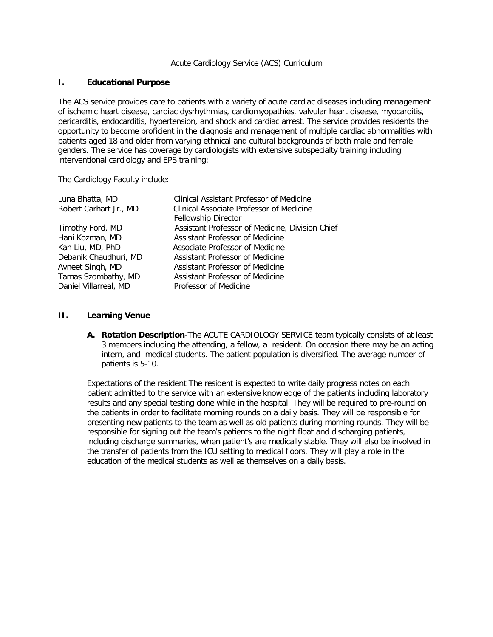#### Acute Cardiology Service (ACS) Curriculum

#### **I. Educational Purpose**

The ACS service provides care to patients with a variety of acute cardiac diseases including management of ischemic heart disease, cardiac dysrhythmias, cardiomyopathies, valvular heart disease, myocarditis, pericarditis, endocarditis, hypertension, and shock and cardiac arrest. The service provides residents the opportunity to become proficient in the diagnosis and management of multiple cardiac abnormalities with patients aged 18 and older from varying ethnical and cultural backgrounds of both male and female genders. The service has coverage by cardiologists with extensive subspecialty training including interventional cardiology and EPS training:

The Cardiology Faculty include:

| Luna Bhatta, MD        | Clinical Assistant Professor of Medicine        |
|------------------------|-------------------------------------------------|
| Robert Carhart Jr., MD | Clinical Associate Professor of Medicine        |
|                        | <b>Fellowship Director</b>                      |
| Timothy Ford, MD       | Assistant Professor of Medicine, Division Chief |
| Hani Kozman, MD        | Assistant Professor of Medicine                 |
| Kan Liu, MD, PhD       | Associate Professor of Medicine                 |
| Debanik Chaudhuri, MD  | Assistant Professor of Medicine                 |
| Avneet Singh, MD       | Assistant Professor of Medicine                 |
| Tamas Szombathy, MD    | Assistant Professor of Medicine                 |
| Daniel Villarreal, MD  | Professor of Medicine                           |

#### **II. Learning Venue**

**A. Rotation Description**-The ACUTE CARDIOLOGY SERVICE team typically consists of at least 3 members including the attending, a fellow, a resident. On occasion there may be an acting intern, and medical students. The patient population is diversified. The average number of patients is 5-10.

Expectations of the resident The resident is expected to write daily progress notes on each patient admitted to the service with an extensive knowledge of the patients including laboratory results and any special testing done while in the hospital. They will be required to pre-round on the patients in order to facilitate morning rounds on a daily basis. They will be responsible for presenting new patients to the team as well as old patients during morning rounds. They will be responsible for signing out the team's patients to the night float and discharging patients, including discharge summaries, when patient's are medically stable. They will also be involved in the transfer of patients from the ICU setting to medical floors. They will play a role in the education of the medical students as well as themselves on a daily basis.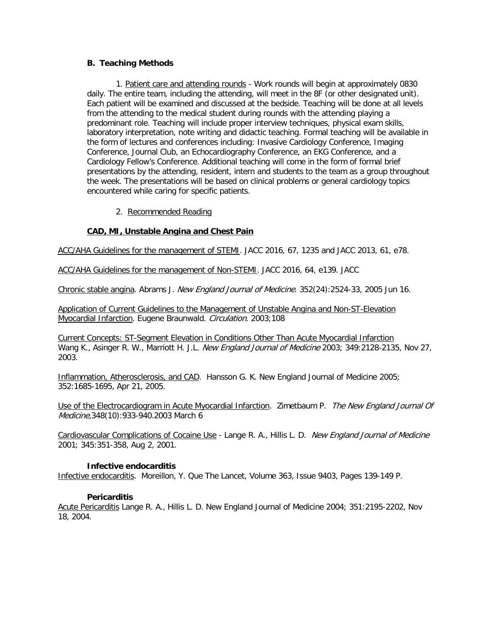#### **B. Teaching Methods**

1. Patient care and attending rounds - Work rounds will begin at approximately 0830 daily. The entire team, including the attending, will meet in the 8F (or other designated unit). Each patient will be examined and discussed at the bedside. Teaching will be done at all levels from the attending to the medical student during rounds with the attending playing a predominant role. Teaching will include proper interview techniques, physical exam skills, laboratory interpretation, note writing and didactic teaching. Formal teaching will be available in the form of lectures and conferences including: Invasive Cardiology Conference, Imaging Conference, Journal Club, an Echocardiography Conference, an EKG Conference, and a Cardiology Fellow's Conference. Additional teaching will come in the form of formal brief presentations by the attending, resident, intern and students to the team as a group throughout the week. The presentations will be based on clinical problems or general cardiology topics encountered while caring for specific patients.

#### 2. Recommended Reading

#### **CAD, MI, Unstable Angina and Chest Pain**

ACC/AHA Guidelines for the management of STEMI. JACC 2016, 67, 1235 and JACC 2013, 61, e78.

ACC/AHA Guidelines for the management of Non-STEMI. JACC 2016, 64, e139. JACC

Chronic stable angina. Abrams J. New England Journal of Medicine. 352(24):2524-33, 2005 Jun 16.

Application of Current Guidelines to the Management of Unstable Angina and Non-ST-Elevation Myocardial Infarction. Eugene Braunwald. Circulation. 2003;108

[Current Concepts: ST-Segment Elevation in Conditions Other Than Acute Myocardial Infarction](http://content.nejm.org/cgi/content/short/349/22/2128) Wang K., Asinger R. W., Marriott H. J.L. New England Journal of Medicine 2003; 349:2128-2135, Nov 27, 2003.

Inflammation, Atherosclerosis, and CAD. Hansson G. K. New England Journal of Medicine 2005; 352:1685-1695, Apr 21, 2005.

Use of the Electrocardiogram in Acute Myocardial Infarction. Zimetbaum P. The New England Journal Of Medicine,348(10):933-940.2003 March 6

Cardiovascular Complications of Cocaine Use - Lange R. A., Hillis L. D. New England Journal of Medicine 2001; 345:351-358, Aug 2, 2001.

#### **Infective endocarditis**

Infective endocarditis. Moreillon, Y. Que The Lancet, Volume 363, Issue 9403, Pages 139-149 P.

#### **Pericarditis**

Acute Pericarditis Lange R. A., Hillis L. D. New England Journal of Medicine 2004; 351:2195-2202, Nov 18, 2004.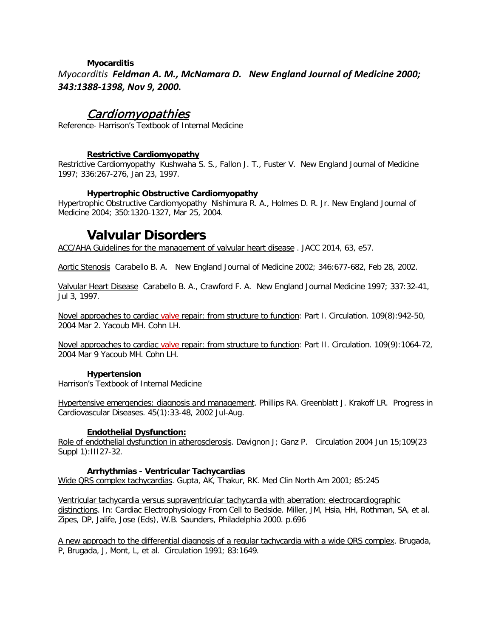#### **Myocarditis**

*Myocarditis Feldman A. M., McNamara D. New England Journal of Medicine 2000; 343:1388-1398, Nov 9, 2000.* 

# Cardiomyopathies

Reference- Harrison's Textbook of Internal Medicine

#### **Restrictive Cardiomyopathy**

Restrictive Cardiomyopathy Kushwaha S. S., Fallon J. T., Fuster V. New England Journal of Medicine 1997; 336:267-276, Jan 23, 1997.

#### **Hypertrophic Obstructive Cardiomyopathy**

Hypertrophic Obstructive Cardiomyopathy Nishimura R. A., Holmes D. R. Jr. New England Journal of Medicine 2004; 350:1320-1327, Mar 25, 2004.

# **Valvular Disorders**

ACC/AHA Guidelines for the management of valvular heart disease . JACC 2014, 63, e57.

Aortic Stenosis Carabello B. A. New England Journal of Medicine 2002; 346:677-682, Feb 28, 2002.

Valvular Heart Disease Carabello B. A., Crawford F. A. New England Journal Medicine 1997; 337:32-41, Jul 3, 1997.

Novel approaches to cardiac valve repair: from structure to function: Part I. Circulation. 109(8):942-50, 2004 Mar 2. Yacoub MH. Cohn LH.

Novel approaches to cardiac valve repair: from structure to function: Part II. Circulation. 109(9):1064-72, 2004 Mar 9 Yacoub MH. Cohn LH.

#### **Hypertension**

Harrison's Textbook of Internal Medicine

Hypertensive emergencies: diagnosis and management. Phillips RA. Greenblatt J. Krakoff LR. Progress in Cardiovascular Diseases. 45(1):33-48, 2002 Jul-Aug.

#### **Endothelial Dysfunction:**

Role of endothelial dysfunction in atherosclerosis. Davignon J; Ganz P. Circulation 2004 Jun 15;109(23 Suppl 1):III27-32.

#### **Arrhythmias - Ventricular Tachycardias**

Wide QRS complex tachycardias. Gupta, AK, Thakur, RK. Med Clin North Am 2001; 85:245

Ventricular tachycardia versus supraventricular tachycardia with aberration: electrocardiographic distinctions. In: Cardiac Electrophysiology From Cell to Bedside. Miller, JM, Hsia, HH, Rothman, SA, et al. Zipes, DP, Jalife, Jose (Eds), W.B. Saunders, Philadelphia 2000. p.696

A new approach to the differential diagnosis of a regular tachycardia with a wide QRS complex. Brugada, P, Brugada, J, Mont, L, et al. Circulation 1991; 83:1649.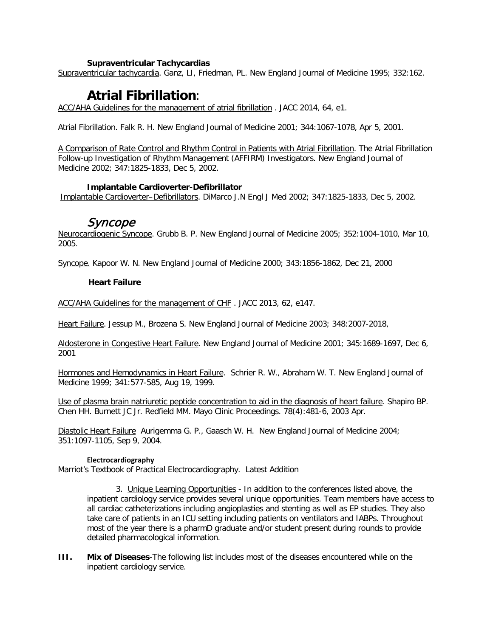#### **Supraventricular Tachycardias**

Supraventricular tachycardia. Ganz, LI, Friedman, PL. New England Journal of Medicine 1995; 332:162.

# **Atrial Fibrillation**:

ACC/AHA Guidelines for the management of atrial fibrillation . JACC 2014, 64, e1.

Atrial Fibrillation. Falk R. H. New England Journal of Medicine 2001; 344:1067-1078, Apr 5, 2001.

A Comparison of Rate Control and Rhythm Control in Patients with Atrial Fibrillation. The Atrial Fibrillation Follow-up Investigation of Rhythm Management (AFFIRM) Investigators. New England Journal of Medicine 2002; 347:1825-1833, Dec 5, 2002.

#### **Implantable Cardioverter-Defibrillator**

Implantable Cardioverter–Defibrillators. DiMarco J.N Engl J Med 2002; 347:1825-1833, Dec 5, 2002.

## Syncope

Neurocardiogenic Syncope. Grubb B. P. New England Journal of Medicine 2005; 352:1004-1010, Mar 10, 2005.

[Syncope.](http://content.nejm.org/cgi/content/short/343/25/1856) Kapoor W. N. New England Journal of Medicine 2000; 343:1856-1862, Dec 21, 2000

#### **Heart Failure**

ACC/AHA Guidelines for the management of CHF . JACC 2013, 62, e147.

Heart Failure. Jessup M., Brozena S. New England Journal of Medicine 2003; 348:2007-2018,

Aldosterone in Congestive Heart Failure. New England Journal of Medicine 2001; 345:1689-1697, Dec 6, 2001

Hormones and Hemodynamics in Heart Failure. Schrier R. W., Abraham W. T. New England Journal of Medicine 1999; 341:577-585, Aug 19, 1999.

Use of plasma brain natriuretic peptide concentration to aid in the diagnosis of heart failure. Shapiro BP. Chen HH. Burnett JC Jr. Redfield MM. Mayo Clinic Proceedings. 78(4):481-6, 2003 Apr.

Diastolic Heart Failure Aurigemma G. P., Gaasch W. H. New England Journal of Medicine 2004; 351:1097-1105, Sep 9, 2004.

#### **Electrocardiography**

Marriot's Textbook of Practical Electrocardiography. Latest Addition

3. Unique Learning Opportunities - In addition to the conferences listed above, the inpatient cardiology service provides several unique opportunities. Team members have access to all cardiac catheterizations including angioplasties and stenting as well as EP studies. They also take care of patients in an ICU setting including patients on ventilators and IABPs. Throughout most of the year there is a pharmD graduate and/or student present during rounds to provide detailed pharmacological information.

**III. Mix of Diseases**-The following list includes most of the diseases encountered while on the inpatient cardiology service.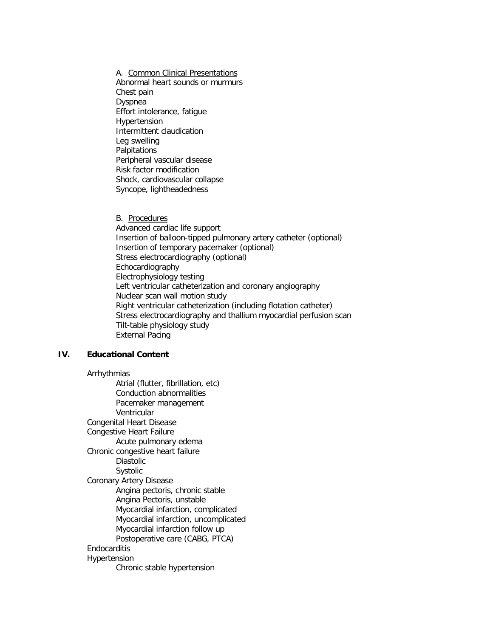A. Common Clinical Presentations Abnormal heart sounds or murmurs Chest pain Dyspnea Effort intolerance, fatigue Hypertension Intermittent claudication Leg swelling Palpitations Peripheral vascular disease Risk factor modification Shock, cardiovascular collapse Syncope, lightheadedness

B. Procedures Advanced cardiac life support Insertion of balloon-tipped pulmonary artery catheter (optional) Insertion of temporary pacemaker (optional) Stress electrocardiography (optional) Echocardiography Electrophysiology testing Left ventricular catheterization and coronary angiography Nuclear scan wall motion study Right ventricular catheterization (including flotation catheter) Stress electrocardiography and thallium myocardial perfusion scan Tilt-table physiology study External Pacing

### **IV. Educational Content**

Arrhythmias Atrial (flutter, fibrillation, etc) Conduction abnormalities Pacemaker management Ventricular Congenital Heart Disease Congestive Heart Failure Acute pulmonary edema Chronic congestive heart failure Diastolic Systolic Coronary Artery Disease Angina pectoris, chronic stable Angina Pectoris, unstable Myocardial infarction, complicated Myocardial infarction, uncomplicated Myocardial infarction follow up Postoperative care (CABG, PTCA) Endocarditis Hypertension Chronic stable hypertension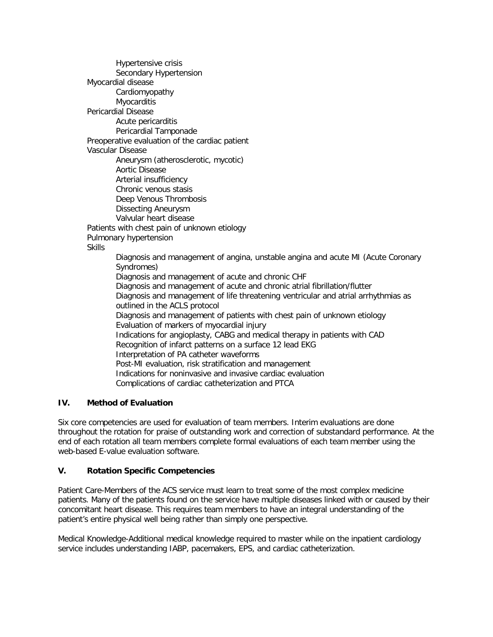Hypertensive crisis Secondary Hypertension Myocardial disease Cardiomyopathy Myocarditis Pericardial Disease Acute pericarditis Pericardial Tamponade Preoperative evaluation of the cardiac patient Vascular Disease Aneurysm (atherosclerotic, mycotic) Aortic Disease Arterial insufficiency Chronic venous stasis Deep Venous Thrombosis Dissecting Aneurysm Valvular heart disease Patients with chest pain of unknown etiology Pulmonary hypertension **Skills** Diagnosis and management of angina, unstable angina and acute MI (Acute Coronary Syndromes) Diagnosis and management of acute and chronic CHF Diagnosis and management of acute and chronic atrial fibrillation/flutter Diagnosis and management of life threatening ventricular and atrial arrhythmias as outlined in the ACLS protocol Diagnosis and management of patients with chest pain of unknown etiology Evaluation of markers of myocardial injury Indications for angioplasty, CABG and medical therapy in patients with CAD Recognition of infarct patterns on a surface 12 lead EKG Interpretation of PA catheter waveforms Post-MI evaluation, risk stratification and management Indications for noninvasive and invasive cardiac evaluation Complications of cardiac catheterization and PTCA

## **IV. Method of Evaluation**

Six core competencies are used for evaluation of team members. Interim evaluations are done throughout the rotation for praise of outstanding work and correction of substandard performance. At the end of each rotation all team members complete formal evaluations of each team member using the web-based E-value evaluation software.

## **V. Rotation Specific Competencies**

Patient Care-Members of the ACS service must learn to treat some of the most complex medicine patients. Many of the patients found on the service have multiple diseases linked with or caused by their concomitant heart disease. This requires team members to have an integral understanding of the patient's entire physical well being rather than simply one perspective.

Medical Knowledge-Additional medical knowledge required to master while on the inpatient cardiology service includes understanding IABP, pacemakers, EPS, and cardiac catheterization.